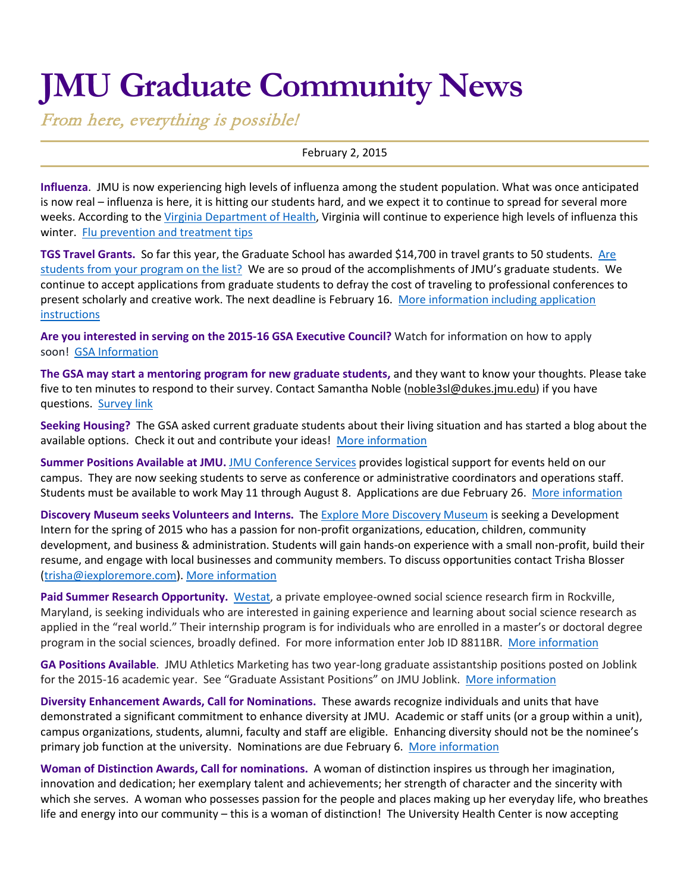# **JMU Graduate Community News**

From here, everything is possible!

February 2, 2015

**Influenza**. JMU is now experiencing high levels of influenza among the student population. What was once anticipated is now real – influenza is here, it is hitting our students hard, and we expect it to continue to spread for several more weeks. According to the [Virginia Department of Health,](http://www.vdh.virginia.gov/epidemiology/flu/Surveillance.htm) Virginia will continue to experience high levels of influenza this winter. [Flu prevention and treatment tips](http://www.jmu.edu/news/healthcenter/2015/01/06-flu.shtml)

**TGS Travel Grants.** So far this year, the Graduate School has awarded \$14,700 in travel grants to 50 students. Are [students from your program on the list?](http://www.jmu.edu/grad/current-students/awards/travel-grants-recipients.shtml) We are so proud of the accomplishments of JMU's graduate students. We continue to accept applications from graduate students to defray the cost of traveling to professional conferences to present scholarly and creative work. The next deadline is February 16. [More information including application](http://www.jmu.edu/grad/current-students/awards/travel-grants.shtml)  [instructions](http://www.jmu.edu/grad/current-students/awards/travel-grants.shtml) 

**Are you interested in serving on the 2015-16 GSA Executive Council?** Watch for information on how to apply soon! [GSA Information](http://www.jmu.edu/grad/gsa/index.shtml)

**The GSA may start a mentoring program for new graduate students,** and they want to know your thoughts. Please take five to ten minutes to respond to their survey. Contact Samantha Noble [\(noble3sl@dukes.jmu.edu\)](mailto:noble3sl@dukes.jmu.edu) if you have questions. [Survey link](https://docs.google.com/forms/d/1I3WXU0uBqWz81oCNiIjmQ8ljAI8n1MdHS6tNysMrMO8/viewform)

**Seeking Housing?** The GSA asked current graduate students about their living situation and has started a blog about the available options. Check it out and contribute your ideas! [More information](http://jmugsa.blogspot.com/2015/01/moving-harrisonburg-housing-information.html)

**Summer Positions Available at JMU.** [JMU Conference Services](http://info.jmu.edu/conferences/) provides logistical support for events held on our campus. They are now seeking students to serve as conference or administrative coordinators and operations staff. Students must be available to work May 11 through August 8. Applications are due February 26. [More information](http://info.jmu.edu/conferences/about/summer-employment/)

**Discovery Museum seeks Volunteers and Interns.** The [Explore More Discovery Museum](http://www.iexploremore.com/Home/tabid/36/Default.aspx) is seeking a Development Intern for the spring of 2015 who has a passion for non-profit organizations, education, children, community development, and business & administration. Students will gain hands-on experience with a small non-profit, build their resume, and engage with local businesses and community members. To discuss opportunities contact Trisha Blosser [\(trisha@iexploremore.com\)](mailto:trisha@iexploremore.com). [More information](http://www.iexploremore.com/SupportUs/Volunteers/tabid/72/Default.aspx)

**Paid Summer Research Opportunity.** [Westat,](https://www.westat.com/) a private employee-owned social science research firm in Rockville, Maryland, is seeking individuals who are interested in gaining experience and learning about social science research as applied in the "real world." Their internship program is for individuals who are enrolled in a master's or doctoral degree program in the social sciences, broadly defined. For more information enter Job ID 8811BR. [More information](https://www.westat.com/jobs)

**GA Positions Available**. JMU Athletics Marketing has two year-long graduate assistantship positions posted on Joblink for the 2015-16 academic year. See "Graduate Assistant Positions" on JMU Joblink. [More information](https://joblink.jmu.edu/applicants/jsp/shared/frameset/Frameset.jsp?time=1422381007425)

**Diversity Enhancement Awards, Call for Nominations.** These awards recognize individuals and units that have demonstrated a significant commitment to enhance diversity at JMU. Academic or staff units (or a group within a unit), campus organizations, students, alumni, faculty and staff are eligible. Enhancing diversity should not be the nominee's primary job function at the university. Nominations are due February 6. [More information](http://www.jmu.edu/diversity/programs-and-events/deap.shtml)

**Woman of Distinction Awards, Call for nominations.** A woman of distinction inspires us through her imagination, innovation and dedication; her exemplary talent and achievements; her strength of character and the sincerity with which she serves. A woman who possesses passion for the people and places making up her everyday life, who breathes life and energy into our community – this is a woman of distinction! The University Health Center is now accepting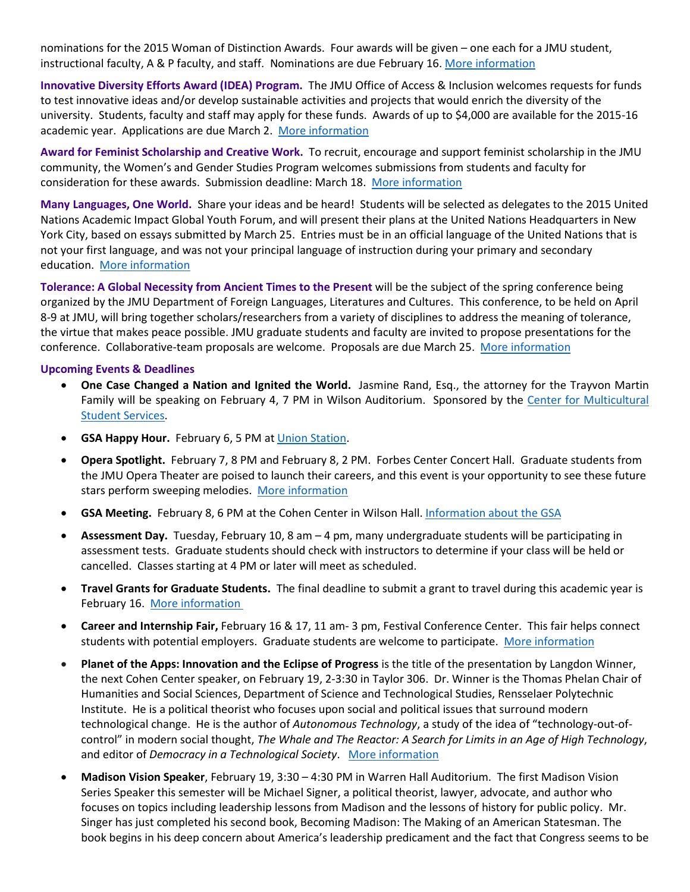nominations for the 2015 Woman of Distinction Awards. Four awards will be given – one each for a JMU student, instructional faculty, A & P faculty, and staff. Nominations are due February 16. [More information](http://www.jmu.edu/news/healthcenter/2014/12/04-distinction.shtml)

**Innovative Diversity Efforts Award (IDEA) Program.** The JMU Office of Access & Inclusion welcomes requests for funds to test innovative ideas and/or develop sustainable activities and projects that would enrich the diversity of the university. Students, faculty and staff may apply for these funds. Awards of up to \$4,000 are available for the 2015-16 academic year. Applications are due March 2. [More information](http://www.jmu.edu/diversity/programs-and-events/Announcing%20the.docx)

**Award for Feminist Scholarship and Creative Work.** To recruit, encourage and support feminist scholarship in the JMU community, the Women's and Gender Studies Program welcomes submissions from students and faculty for consideration for these awards. Submission deadline: March 18. [More information](http://www.jmu.edu/womenstudies/creativework.shtml)

**Many Languages, One World.** Share your ideas and be heard! Students will be selected as delegates to the 2015 United Nations Academic Impact Global Youth Forum, and will present their plans at the United Nations Headquarters in New York City, based on essays submitted by March 25. Entries must be in an official language of the United Nations that is not your first language, and was not your principal language of instruction during your primary and secondary education. [More information](http://www.els.edu/en/ManyLanguagesOneWorld)

**Tolerance: A Global Necessity from Ancient Times to the Present** will be the subject of the spring conference being organized by the JMU Department of Foreign Languages, Literatures and Cultures. This conference, to be held on April 8-9 at JMU, will bring together scholars/researchers from a variety of disciplines to address the meaning of tolerance, the virtue that makes peace possible. JMU graduate students and faculty are invited to propose presentations for the conference. Collaborative-team proposals are welcome. Proposals are due March 25. [More information](http://www.jmu.edu/forlang/conferenceFLLC/call.shtml) 

#### **Upcoming Events & Deadlines**

- **One Case Changed a Nation and Ignited the World.** Jasmine Rand, Esq., the attorney for the Trayvon Martin Family will be speaking on February 4, 7 PM in Wilson Auditorium. Sponsored by the Center for Multicultural [Student Services.](https://www.jmu.edu/multicultural/)
- **GSA Happy Hour.** February 6, 5 PM at [Union Station.](http://www.unionstationdowntown.com/site/)
- **Opera Spotlight.** February 7, 8 PM and February 8, 2 PM. Forbes Center Concert Hall. Graduate students from the JMU Opera Theater are poised to launch their careers, and this event is your opportunity to see these future stars perform sweeping melodies. [More information](http://www.jmu.edu/forbescenter/events/2015/02/07-opera-spotlight.shtml)
- **GSA Meeting.** February 8, 6 PM at the Cohen Center in Wilson Hall. [Information about the GSA](http://www.jmu.edu/grad/gsa/index.shtml)
- **Assessment Day.** Tuesday, February 10, 8 am 4 pm, many undergraduate students will be participating in assessment tests. Graduate students should check with instructors to determine if your class will be held or cancelled. Classes starting at 4 PM or later will meet as scheduled.
- **Travel Grants for Graduate Students.** The final deadline to submit a grant to travel during this academic year is February 16. [More information](http://www.jmu.edu/grad/current-students/awards/travel-grants.shtml)
- **Career and Internship Fair,** February 16 & 17, 11 am- 3 pm, Festival Conference Center. This fair helps connect students with potential employers. Graduate students are welcome to participate. [More information](http://www.jmu.edu/cap/fair/spring-students.shtml)
- **Planet of the Apps: Innovation and the Eclipse of Progress** is the title of the presentation by Langdon Winner, the next Cohen Center speaker, on February 19, 2-3:30 in Taylor 306. Dr. Winner is the Thomas Phelan Chair of Humanities and Social Sciences, Department of Science and Technological Studies, Rensselaer Polytechnic Institute. He is a political theorist who focuses upon social and political issues that surround modern technological change. He is the author of *Autonomous Technology*, a study of the idea of "technology-out-ofcontrol" in modern social thought, *The Whale and The Reactor: A Search for Limits in an Age of High Technology*, and editor of *Democracy in a Technological Society*. [More information](http://www.jmu.edu/events/research/2015/02/02-19-cohen-spring-lecture-winner-event.shtml)
- **Madison Vision Speaker**, February 19, 3:30 4:30 PM in Warren Hall Auditorium. The first Madison Vision Series Speaker this semester will be Michael Signer, a political theorist, lawyer, advocate, and author who focuses on topics including leadership lessons from Madison and the lessons of history for public policy. Mr. Singer has just completed his second book, Becoming Madison: The Making of an American Statesman. The book begins in his deep concern about America's leadership predicament and the fact that Congress seems to be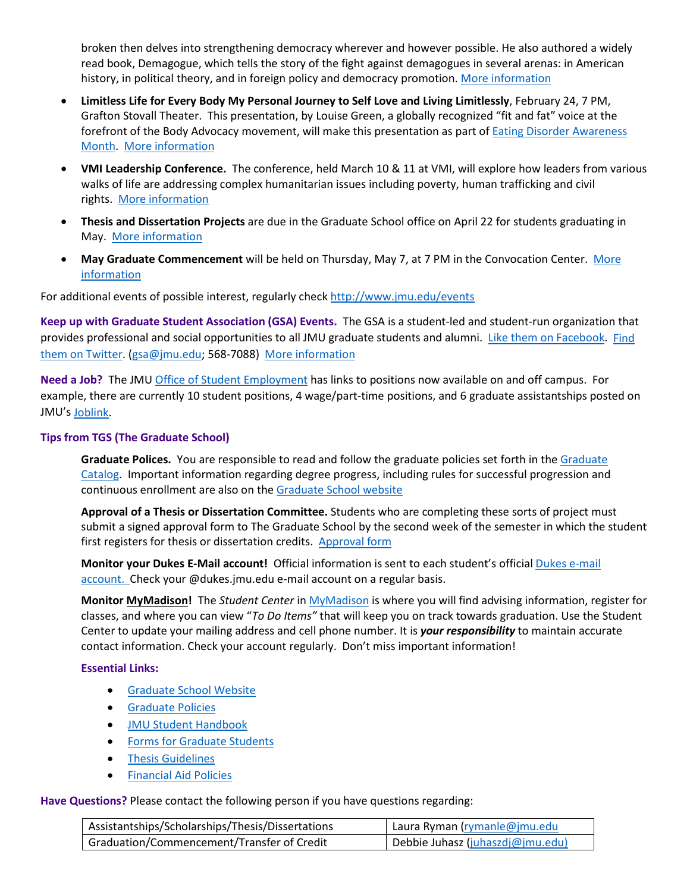broken then delves into strengthening democracy wherever and however possible. He also authored a widely read book, Demagogue, which tells the story of the fight against demagogues in several arenas: in American history, in political theory, and in foreign policy and democracy promotion. [More information](http://www.jmu.edu/events/president/2015/02/MVS_Signer.shtml)

- **Limitless Life for Every Body My Personal Journey to Self Love and Living Limitlessly**, February 24, 7 PM, Grafton Stovall Theater. This presentation, by Louise Green, a globally recognized "fit and fat" voice at the forefront of the Body Advocacy movement, will make this presentation as part of **Eating Disorder Awareness** [Month.](http://www.jmu.edu/_images/healthcenter/edam.jpg) [More information](http://www.jmu.edu/events/healthcenter/2015/02/24-green.shtml)
- **VMI Leadership Conference.** The conference, held March 10 & 11 at VMI, will explore how leaders from various walks of life are addressing complex humanitarian issues including poverty, human trafficking and civil rights. [More information](http://www.vmi.edu/Conferences/Leadership/2015/Leadership_Conference/)
- **Thesis and Dissertation Projects** are due in the Graduate School office on April 22 for students graduating in May. [More information](http://www.jmu.edu/grad/current-students/thesis-dissertation/information.shtml)
- **May Graduate Commencement** will be held on Thursday, May 7, at 7 PM in the Convocation Center. [More](http://www.jmu.edu/commencement/)  [information](http://www.jmu.edu/commencement/)

For additional events of possible interest, regularly check<http://www.jmu.edu/events>

**Keep up with Graduate Student Association (GSA) Events.** The GSA is a student-led and student-run organization that provides professional and social opportunities to all JMU graduate students and alumni. [Like them on Facebook.](https://www.facebook.com/JMUGSA?fref=ts) Find [them on Twitter.](https://twitter.com/JMUGSA) [\(gsa@jmu.edu;](mailto:gsa@jmu.edu) 568-7088) [More information](http://www.jmu.edu/grad/gsa/index.shtml)

**Need a Job?** The JM[U Office of Student Employment](http://www.jmu.edu/stuemploy/) has links to positions now available on and off campus. For example, there are currently 10 student positions, 4 wage/part-time positions, and 6 graduate assistantships posted on JMU'[s Joblink.](https://joblink.jmu.edu/)

# **Tips from TGS (The Graduate School)**

**Graduate Polices.** You are responsible to read and follow the graduate policies set forth in th[e Graduate](http://jmu.edu/catalog)  [Catalog.](http://jmu.edu/catalog) Important information regarding degree progress, including rules for successful progression and continuous enrollment are also on th[e Graduate School website](http://www.jmu.edu/grad/current-students/degree-progress/beginning.shtml)

**Approval of a Thesis or Dissertation Committee.** Students who are completing these sorts of project must submit a signed approval form to The Graduate School by the second week of the semester in which the student first registers for thesis or dissertation credits. [Approval form](http://www.jmu.edu/grad/_files/CommitteeApprovalForm2014-15.pdf)

**Monitor your Dukes E-Mail account!** Official information is sent to each student's officia[l Dukes e-mail](http://www.jmu.edu/computing/helpdesk/selfhelp/DukesEmail.shtml)  [account.](http://www.jmu.edu/computing/helpdesk/selfhelp/DukesEmail.shtml) Check your @dukes.jmu.edu e-mail account on a regular basis.

**Monitor [MyMadison!](http://mymadison.jmu.edu/)** The *Student Center* in [MyMadison](http://mymadison.jmu.edu/) is where you will find advising information, register for classes, and where you can view "*To Do Items"* that will keep you on track towards graduation. Use the Student Center to update your mailing address and cell phone number. It is *your responsibility* to maintain accurate contact information. Check your account regularly. Don't miss important information!

## **Essential Links:**

- [Graduate School Website](http://www.jmu.edu/grad)
- [Graduate Policies](http://www.jmu.edu/catalog/index.shtml)
- [JMU Student Handbook](http://www.jmu.edu/osarp/handbook/)
- [Forms for Graduate Students](http://www.jmu.edu/grad/current-students/graduate-forms.shtml)
- [Thesis Guidelines](http://www.jmu.edu/grad/current-students/thesis-dissertation/information.shtml)
- [Financial Aid Policies](http://www.jmu.edu/finaid/sap.shtml)

## **Have Questions?** Please contact the following person if you have questions regarding:

| Assistantships/Scholarships/Thesis/Dissertations | Laura Ryman (rymanle@jmu.edu     |
|--------------------------------------------------|----------------------------------|
| Graduation/Commencement/Transfer of Credit       | Debbie Juhasz (juhaszdj@jmu.edu) |